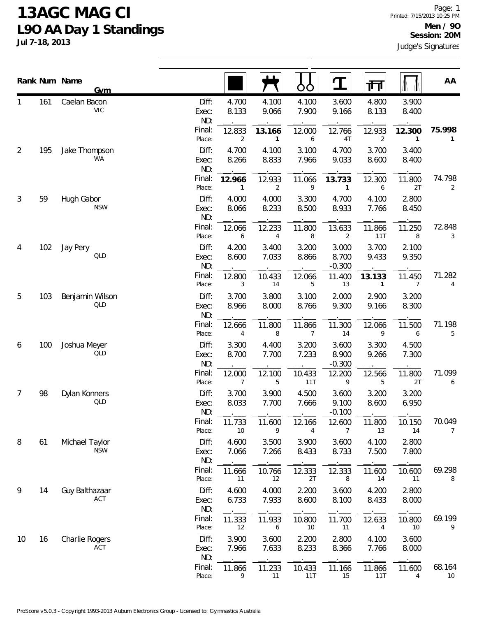## **13AGC MAG CI L9O AA Day 1 Standings**

**Jul 7-18, 2013**

|                |     | Rank Num Name<br><b>Gym</b>   |                       |                          |                          |                          |                            | गा                     |                          | AA             |
|----------------|-----|-------------------------------|-----------------------|--------------------------|--------------------------|--------------------------|----------------------------|------------------------|--------------------------|----------------|
|                | 161 | Caelan Bacon<br><b>VIC</b>    | Diff:<br>Exec:<br>ND: | 4.700<br>8.133           | 4.100<br>9.066           | 4.100<br>7.900           | 3.600<br>9.166             | 4.800<br>8.133         | 3.900<br>8.400           |                |
|                |     |                               | Final:<br>Place:      | 12.833<br>$\overline{2}$ | 13.166<br>$\mathbf{1}$   | 12.000<br>6              | 12.766<br>4T               | 12.933<br>2            | 12.300<br>1              | 75.998         |
| $\overline{2}$ | 195 | Jake Thompson<br>WA           | Diff:<br>Exec:<br>ND: | 4.700<br>8.266           | 4.100<br>8.833           | 3.100<br>7.966           | 4.700<br>9.033             | 3.700<br>8.600         | 3.400<br>8.400           |                |
|                |     |                               | Final:<br>Place:      | 12.966<br>$\mathbf{1}$   | 12.933<br>$\overline{2}$ | 11.066<br>9              | 13.733<br>1                | 12.300<br>6            | 11.800<br>2T             | 74.798<br>2    |
| 3              | 59  | Hugh Gabor<br><b>NSW</b>      | Diff:<br>Exec:<br>ND: | 4.000<br>8.066           | 4.000<br>8.233           | 3.300<br>8.500           | 4.700<br>8.933             | 4.100<br>7.766         | 2.800<br>8.450           |                |
|                |     |                               | Final:<br>Place:      | 12.066<br>6              | 12.233<br>4              | 11.800<br>8              | 13.633<br>$\overline{2}$   | 11.866<br>11T          | 11.250<br>8              | 72.848<br>3    |
| 4              | 102 | Jay Pery<br><b>QLD</b>        | Diff:<br>Exec:<br>ND: | 4.200<br>8.600           | 3.400<br>7.033           | 3.200<br>8.866           | 3.000<br>8.700<br>$-0.300$ | 3.700<br>9.433         | 2.100<br>9.350           |                |
|                |     |                               | Final:<br>Place:      | 12.800<br>3              | 10.433<br>14             | 12.066<br>5              | 11.400<br>13               | 13.133<br>$\mathbf{1}$ | 11.450<br>$\overline{7}$ | 71.282<br>4    |
| 5              | 103 | Benjamin Wilson<br><b>QLD</b> | Diff:<br>Exec:<br>ND: | 3.700<br>8.966           | 3.800<br>8.000           | 3.100<br>8.766           | 2.000<br>9.300             | 2.900<br>9.166         | 3.200<br>8.300           |                |
|                |     |                               | Final:<br>Place:      | 12.666<br>$\overline{4}$ | 11.800<br>8              | 11.866<br>$\overline{7}$ | 11.300<br>14               | 12.066<br>9            | 11.500<br>6              | 71.198<br>5    |
| 6              | 100 | Joshua Meyer<br>QLD           | Diff:<br>Exec:<br>ND: | 3.300<br>8.700           | 4.400<br>7.700           | 3.200<br>7.233           | 3.600<br>8.900<br>$-0.300$ | 3.300<br>9.266         | 4.500<br>7.300           |                |
|                |     |                               | Final:<br>Place:      | 12.000<br>$\overline{7}$ | 12.100<br>5              | 10.433<br>11T            | 12.200<br>9                | 12.566<br>5            | 11.800<br>2T             | 71.099<br>6    |
| 7              | 98  | Dylan Konners<br>QLD          | Diff:<br>Exec:<br>ND: | 3.700<br>8.033           | 3.900<br>7.700           | 4.500<br>7.666           | 3.600<br>9.100<br>$-0.100$ | 3.200<br>8.600         | 3.200<br>6.950           |                |
|                |     |                               | Final:<br>Place:      | 11.733<br>10             | 11.600<br>9              | 12.166<br>4              | 12.600<br>7                | 11.800<br>13           | 10.150<br>14             | 70.049<br>7    |
| 8              | 61  | Michael Taylor<br><b>NSW</b>  | Diff:<br>Exec:<br>ND: | 4.600<br>7.066           | 3.500<br>7.266           | 3.900<br>8.433           | 3.600<br>8.733             | 4.100<br>7.500         | 2.800<br>7.800           |                |
|                |     |                               | Final:<br>Place:      | 11.666<br>11             | 10.766<br>12             | 12.333<br>2T             | 12.333<br>8                | 11.600<br>14           | 10.600<br>11             | 69.298<br>8    |
| 9              | 14  | Guy Balthazaar<br>ACT         | Diff:<br>Exec:<br>ND: | 4.600<br>6.733           | 4.000<br>7.933           | 2.200<br>8.600           | 3.600<br>8.100             | 4.200<br>8.433         | 2.800<br>8.000           |                |
|                |     |                               | Final:<br>Place:      | 11.333<br>12             | 11.933<br>6              | 10.800<br>10             | 11.700<br>11               | 12.633<br>4            | 10.800<br>10             | 69.199<br>9    |
| 10             | 16  | Charlie Rogers<br>ACT         | Diff:<br>Exec:<br>ND: | 3.900<br>7.966           | 3.600<br>7.633           | 2.200<br>8.233           | 2.800<br>8.366             | 4.100<br>7.766         | 3.600<br>8.000           |                |
|                |     |                               | Final:<br>Place:      | 11.866<br>9              | 11.233<br>11             | 10.433<br>11T            | 11.166<br>15               | 11.866<br>11T          | 11.600<br>4              | 68.164<br>$10$ |